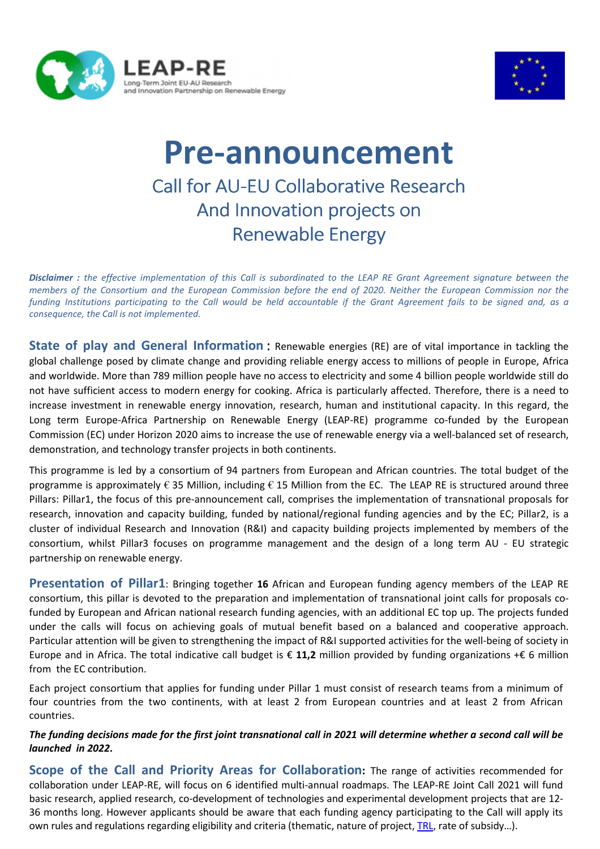



## **Pre-announcement**  Call for AU-EU Collaborative Research And Innovation projects on Renewable Energy

*Disclaimer : the effective implementation of this Call is subordinated to the LEAP RE Grant Agreement signature between the members of the Consortium and the European Commission before the end of 2020. Neither the European Commission nor the funding Institutions participating to the Call would be held accountable if the Grant Agreement fails to be signed and, as a consequence, the Call is not implemented.*

**State of play and General Information**: Renewable energies (RE) are of vital importance in tackling the global challenge posed by climate change and providing reliable energy access to millions of people in Europe, Africa and worldwide. More than 789 million people have no access to electricity and some 4 billion people worldwide still do not have sufficient access to modern energy for cooking. Africa is particularly affected. Therefore, there is a need to increase investment in renewable energy innovation, research, human and institutional capacity. In this regard, the Long term Europe-Africa Partnership on Renewable Energy (LEAP-RE) programme co-funded by the European Commission (EC) under Horizon 2020 aims to increase the use of renewable energy via a well-balanced set of research, demonstration, and technology transfer projects in both continents.

This programme is led by a consortium of 94 partners from European and African countries. The total budget of the programme is approximately € 35 Million, including € 15 Million from the EC. The LEAP RE is structured around three Pillars: Pillar1, the focus of this pre-announcement call, comprises the implementation of transnational proposals for research, innovation and capacity building, funded by national/regional funding agencies and by the EC; Pillar2, is a cluster of individual Research and Innovation (R&I) and capacity building projects implemented by members of the consortium, whilst Pillar3 focuses on programme management and the design of a long term AU - EU strategic partnership on renewable energy.

**Presentation of Pillar1**: Bringing together **16** African and European funding agency members of the LEAP RE consortium, this pillar is devoted to the preparation and implementation of transnational joint calls for proposals cofunded by European and African national research funding agencies, with an additional EC top up. The projects funded under the calls will focus on achieving goals of mutual benefit based on a balanced and cooperative approach. Particular attention will be given to strengthening the impact of R&I supported activities for the well-being of society in Europe and in Africa. The total indicative call budget is € **11,2** million provided by funding organizations +€ 6 million from the EC contribution.

Each project consortium that applies for funding under Pillar 1 must consist of research teams from a minimum of four countries from the two continents, with at least 2 from European countries and at least 2 from African countries.

## *The funding decisions made for the first joint transnational call in 2021 will determine whether a second call will be launched in 2022***.**

**Scope of the Call and Priority Areas for Collaboration:** The range of activities recommended for collaboration under LEAP-RE, will focus on 6 identified multi-annual roadmaps. The LEAP-RE Joint Call 2021 will fund basic research, applied research, co-development of technologies and experimental development projects that are 12- 36 months long. However applicants should be aware that each funding agency participating to the Call will apply its own rules and regulations regarding eligibility and criteria (thematic, nature of project, TRL, rate of subsidy…).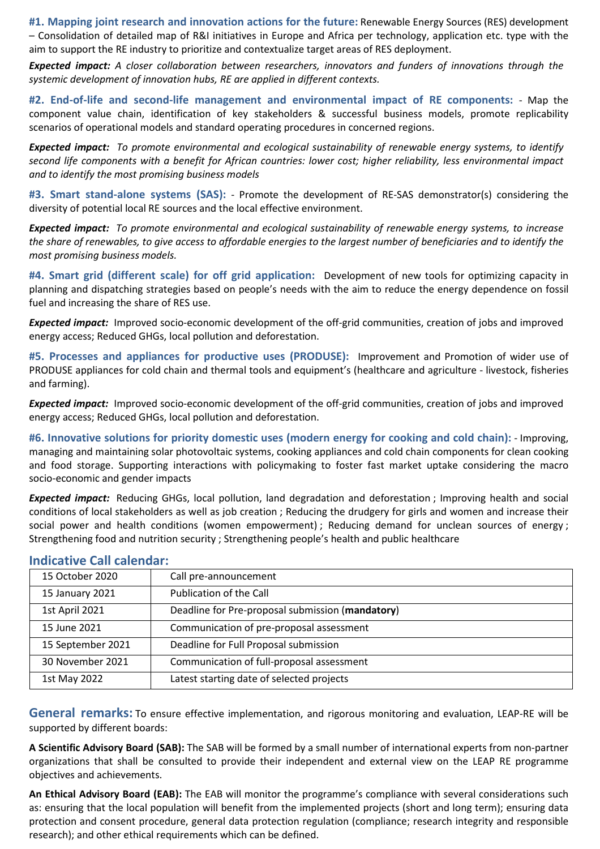**#1. Mapping joint research and innovation actions for the future:** Renewable Energy Sources (RES) development – Consolidation of detailed map of R&I initiatives in Europe and Africa per technology, application etc. type with the aim to support the RE industry to prioritize and contextualize target areas of RES deployment.

*Expected impact: A closer collaboration between researchers, innovators and funders of innovations through the systemic development of innovation hubs, RE are applied in different contexts.* 

**#2. End-of-life and second-life management and environmental impact of RE components:** - Map the component value chain, identification of key stakeholders & successful business models, promote replicability scenarios of operational models and standard operating procedures in concerned regions.

*Expected impact: To promote environmental and ecological sustainability of renewable energy systems, to identify second life components with a benefit for African countries: lower cost; higher reliability, less environmental impact and to identify the most promising business models* 

**#3. Smart stand-alone systems (SAS):** - Promote the development of RE-SAS demonstrator(s) considering the diversity of potential local RE sources and the local effective environment.

*Expected impact: To promote environmental and ecological sustainability of renewable energy systems, to increase the share of renewables, to give access to affordable energies to the largest number of beneficiaries and to identify the most promising business models.* 

**#4. Smart grid (different scale) for off grid application:** Development of new tools for optimizing capacity in planning and dispatching strategies based on people's needs with the aim to reduce the energy dependence on fossil fuel and increasing the share of RES use.

**Expected impact:** Improved socio-economic development of the off-grid communities, creation of jobs and improved energy access; Reduced GHGs, local pollution and deforestation.

**#5. Processes and appliances for productive uses (PRODUSE):** Improvement and Promotion of wider use of PRODUSE appliances for cold chain and thermal tools and equipment's (healthcare and agriculture - livestock, fisheries and farming).

**Expected impact:** Improved socio-economic development of the off-grid communities, creation of jobs and improved energy access; Reduced GHGs, local pollution and deforestation.

**#6. Innovative solutions for priority domestic uses (modern energy for cooking and cold chain):** - Improving, managing and maintaining solar photovoltaic systems, cooking appliances and cold chain components for clean cooking and food storage. Supporting interactions with policymaking to foster fast market uptake considering the macro socio-economic and gender impacts

*Expected impact:* Reducing GHGs, local pollution, land degradation and deforestation ; Improving health and social conditions of local stakeholders as well as job creation ; Reducing the drudgery for girls and women and increase their social power and health conditions (women empowerment) ; Reducing demand for unclean sources of energy ; Strengthening food and nutrition security ; Strengthening people's health and public healthcare

|  | <b>Indicative Call calendar:</b> |  |  |  |
|--|----------------------------------|--|--|--|
|--|----------------------------------|--|--|--|

| 15 October 2020   | Call pre-announcement                            |  |
|-------------------|--------------------------------------------------|--|
| 15 January 2021   | Publication of the Call                          |  |
| 1st April 2021    | Deadline for Pre-proposal submission (mandatory) |  |
| 15 June 2021      | Communication of pre-proposal assessment         |  |
| 15 September 2021 | Deadline for Full Proposal submission            |  |
| 30 November 2021  | Communication of full-proposal assessment        |  |
| 1st May 2022      | Latest starting date of selected projects        |  |

**General remarks:** To ensure effective implementation, and rigorous monitoring and evaluation, LEAP-RE will be supported by different boards:

**A Scientific Advisory Board (SAB):** The SAB will be formed by a small number of international experts from non-partner organizations that shall be consulted to provide their independent and external view on the LEAP RE programme objectives and achievements.

**An Ethical Advisory Board (EAB):** The EAB will monitor the programme's compliance with several considerations such as: ensuring that the local population will benefit from the implemented projects (short and long term); ensuring data protection and consent procedure, general data protection regulation (compliance; research integrity and responsible research); and other ethical requirements which can be defined.